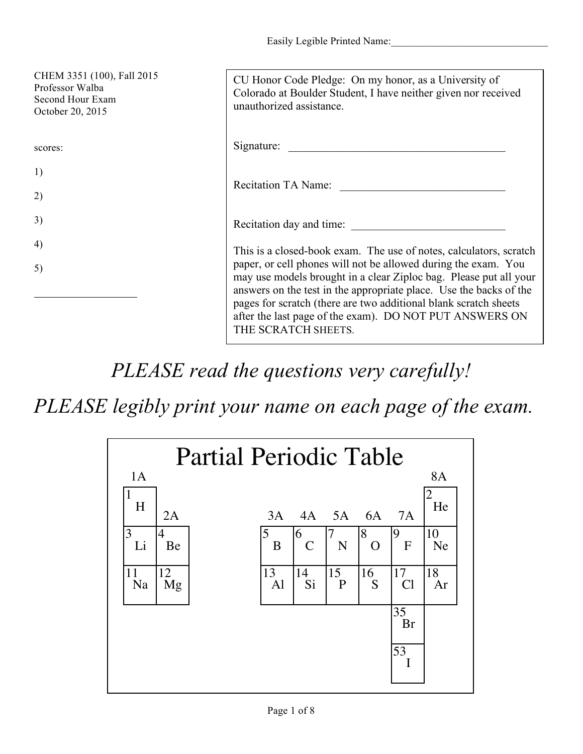| CHEM 3351 (100), Fall 2015<br>Professor Walba<br>Second Hour Exam<br>October 20, 2015 | CU Honor Code Pledge: On my honor, as a University of<br>Colorado at Boulder Student, I have neither given nor received<br>unauthorized assistance.                                                                                                                                                                                                                                                                                   |
|---------------------------------------------------------------------------------------|---------------------------------------------------------------------------------------------------------------------------------------------------------------------------------------------------------------------------------------------------------------------------------------------------------------------------------------------------------------------------------------------------------------------------------------|
| scores:                                                                               | Signature:                                                                                                                                                                                                                                                                                                                                                                                                                            |
| 1)                                                                                    |                                                                                                                                                                                                                                                                                                                                                                                                                                       |
| 2)                                                                                    | Recitation TA Name:                                                                                                                                                                                                                                                                                                                                                                                                                   |
| 3)                                                                                    | Recitation day and time:                                                                                                                                                                                                                                                                                                                                                                                                              |
| 4)                                                                                    | This is a closed-book exam. The use of notes, calculators, scratch<br>paper, or cell phones will not be allowed during the exam. You<br>may use models brought in a clear Ziploc bag. Please put all your<br>answers on the test in the appropriate place. Use the backs of the<br>pages for scratch (there are two additional blank scratch sheets<br>after the last page of the exam). DO NOT PUT ANSWERS ON<br>THE SCRATCH SHEETS. |
| 5)                                                                                    |                                                                                                                                                                                                                                                                                                                                                                                                                                       |

*PLEASE read the questions very carefully!*

*PLEASE legibly print your name on each page of the exam.*

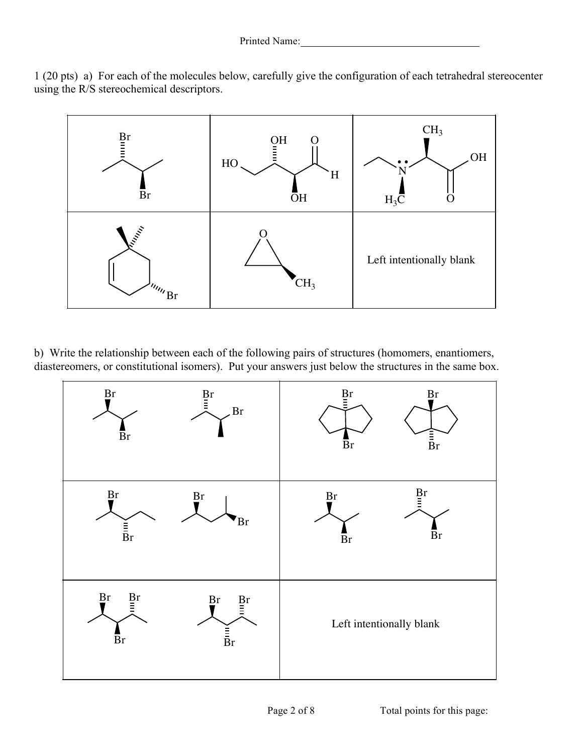1 (20 pts) a) For each of the molecules below, carefully give the configuration of each tetrahedral stereocenter using the R/S stereochemical descriptors.



b) Write the relationship between each of the following pairs of structures (homomers, enantiomers, diastereomers, or constitutional isomers). Put your answers just below the structures in the same box.

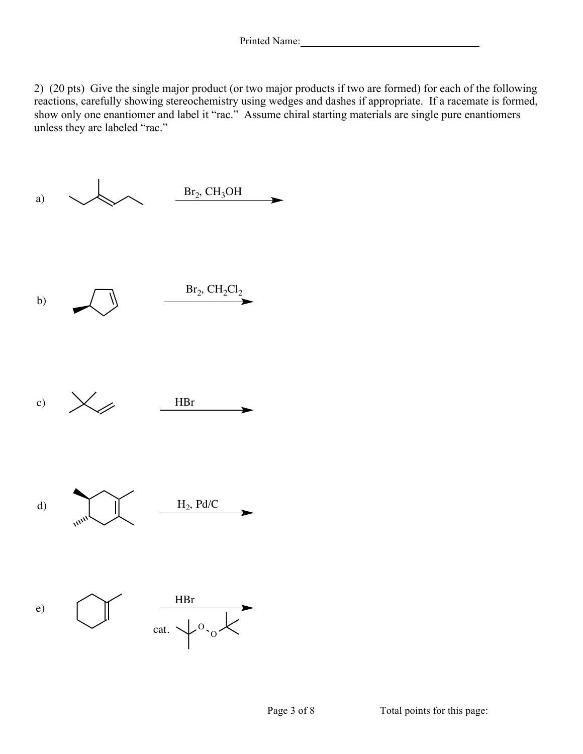2) (20 pts) Give the single major product (or two major products if two are formed) for each of the following reactions, carefully showing stereochemistry using wedges and dashes if appropriate. If a racemate is formed, show only one enantiomer and label it "rac." Assume chiral starting materials are single pure enantiomers unless they are labeled "rac."

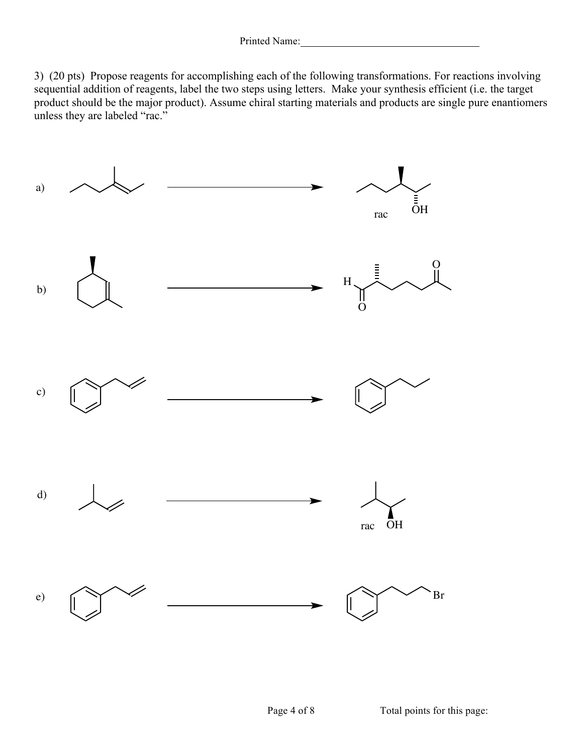3) (20 pts) Propose reagents for accomplishing each of the following transformations. For reactions involving sequential addition of reagents, label the two steps using letters. Make your synthesis efficient (i.e. the target product should be the major product). Assume chiral starting materials and products are single pure enantiomers unless they are labeled "rac."

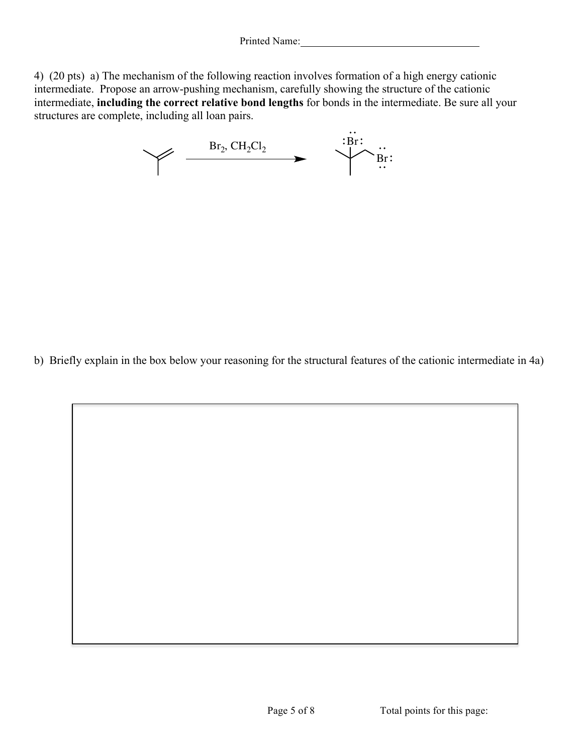4) (20 pts) a) The mechanism of the following reaction involves formation of a high energy cationic intermediate. Propose an arrow-pushing mechanism, carefully showing the structure of the cationic intermediate, **including the correct relative bond lengths** for bonds in the intermediate. Be sure all your structures are complete, including all loan pairs.



b) Briefly explain in the box below your reasoning for the structural features of the cationic intermediate in 4a)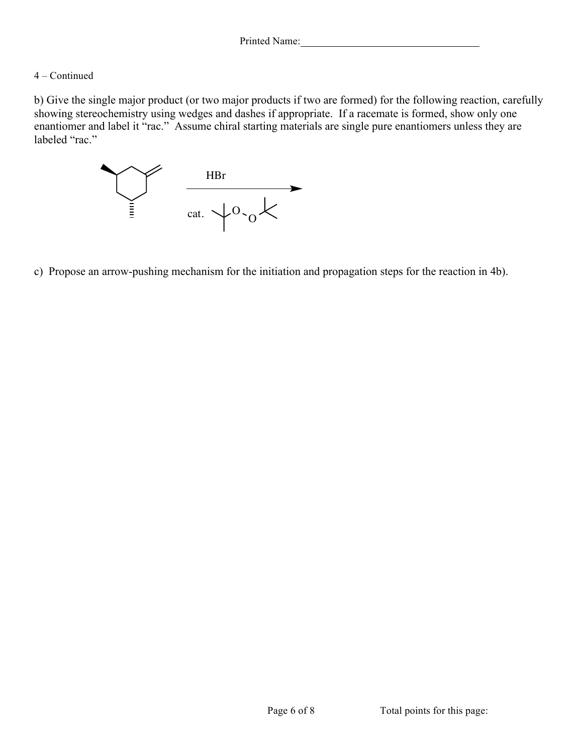## 4 – Continued

b) Give the single major product (or two major products if two are formed) for the following reaction, carefully showing stereochemistry using wedges and dashes if appropriate. If a racemate is formed, show only one enantiomer and label it "rac." Assume chiral starting materials are single pure enantiomers unless they are labeled "rac."



c) Propose an arrow-pushing mechanism for the initiation and propagation steps for the reaction in 4b).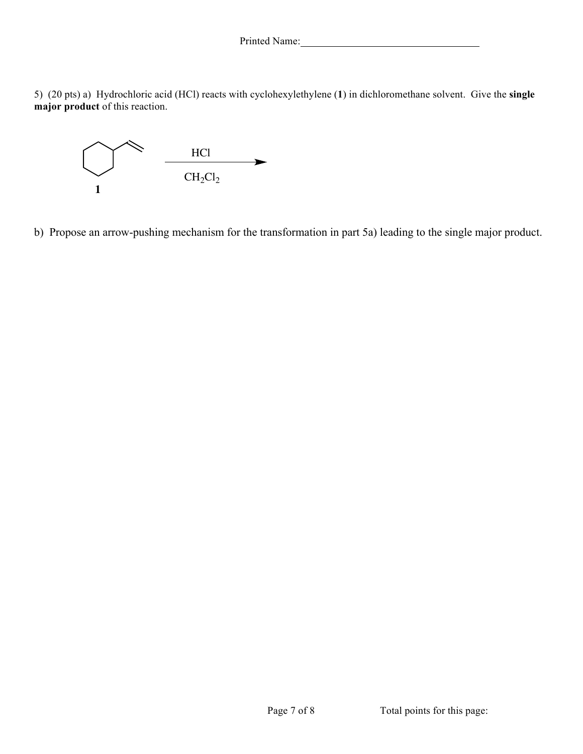Printed Name: 1988

5) (20 pts) a) Hydrochloric acid (HCl) reacts with cyclohexylethylene (**1**) in dichloromethane solvent. Give the **single major product** of this reaction.



b) Propose an arrow-pushing mechanism for the transformation in part 5a) leading to the single major product.